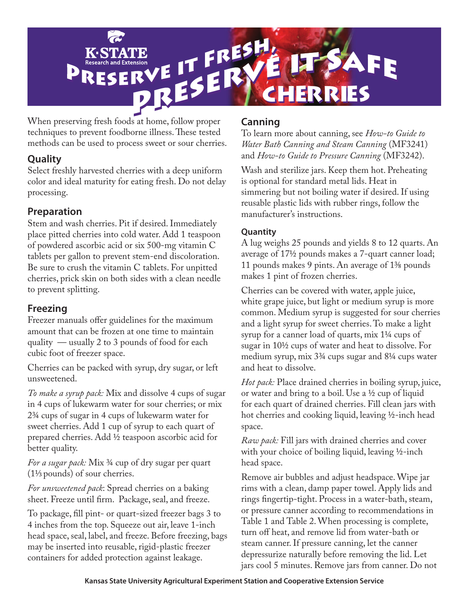

When preserving fresh foods at home, follow proper techniques to prevent foodborne illness. These tested methods can be used to process sweet or sour cherries.

# **Quality**

Select freshly harvested cherries with a deep uniform color and ideal maturity for eating fresh. Do not delay processing.

# **Preparation**

Stem and wash cherries. Pit if desired. Immediately place pitted cherries into cold water. Add 1 teaspoon of powdered ascorbic acid or six 500-mg vitamin C tablets per gallon to prevent stem-end discoloration. Be sure to crush the vitamin C tablets. For unpitted cherries, prick skin on both sides with a clean needle to prevent splitting.

# **Freezing**

Freezer manuals offer guidelines for the maximum amount that can be frozen at one time to maintain quality — usually 2 to 3 pounds of food for each cubic foot of freezer space.

Cherries can be packed with syrup, dry sugar, or left unsweetened.

*To make a syrup pack:* Mix and dissolve 4 cups of sugar in 4 cups of lukewarm water for sour cherries; or mix 23/4 cups of sugar in 4 cups of lukewarm water for sweet cherries. Add 1 cup of syrup to each quart of prepared cherries. Add 1/2 teaspoon ascorbic acid for better quality.

*For a sugar pack:* Mix 3/4 cup of dry sugar per quart (11/3 pounds) of sour cherries.

*For unsweetened pack*: Spread cherries on a baking sheet. Freeze until firm. Package, seal, and freeze.

To package, fill pint- or quart-sized freezer bags 3 to 4 inches from the top. Squeeze out air, leave 1-inch head space, seal, label, and freeze. Before freezing, bags may be inserted into reusable, rigid-plastic freezer containers for added protection against leakage.

# **Canning**

To learn more about canning, see *How-to Guide to Water Bath Canning and Steam Canning* (MF3241) and *How-to Guide to Pressure Canning* (MF3242).

Wash and sterilize jars. Keep them hot. Preheating is optional for standard metal lids. Heat in simmering but not boiling water if desired. If using reusable plastic lids with rubber rings, follow the manufacturer's instructions.

# **Quantity**

A lug weighs 25 pounds and yields 8 to 12 quarts. An average of 17½ pounds makes a 7-quart canner load; 11 pounds makes 9 pints. An average of 1⅜ pounds makes 1 pint of frozen cherries.

Cherries can be covered with water, apple juice, white grape juice, but light or medium syrup is more common. Medium syrup is suggested for sour cherries and a light syrup for sweet cherries. To make a light syrup for a canner load of quarts, mix 1¼ cups of sugar in 10½ cups of water and heat to dissolve. For medium syrup, mix 3¾ cups sugar and 8¼ cups water and heat to dissolve.

*Hot pack:* Place drained cherries in boiling syrup, juice, or water and bring to a boil. Use a  $\frac{1}{2}$  cup of liquid for each quart of drained cherries. Fill clean jars with hot cherries and cooking liquid, leaving ½-inch head space.

*Raw pack:* Fill jars with drained cherries and cover with your choice of boiling liquid, leaving ½-inch head space.

Remove air bubbles and adjust headspace. Wipe jar rims with a clean, damp paper towel. Apply lids and rings fingertip-tight. Process in a water-bath, steam, or pressure canner according to recommendations in Table 1 and Table 2. When processing is complete, turn off heat, and remove lid from water-bath or steam canner. If pressure canning, let the canner depressurize naturally before removing the lid. Let jars cool 5 minutes. Remove jars from canner. Do not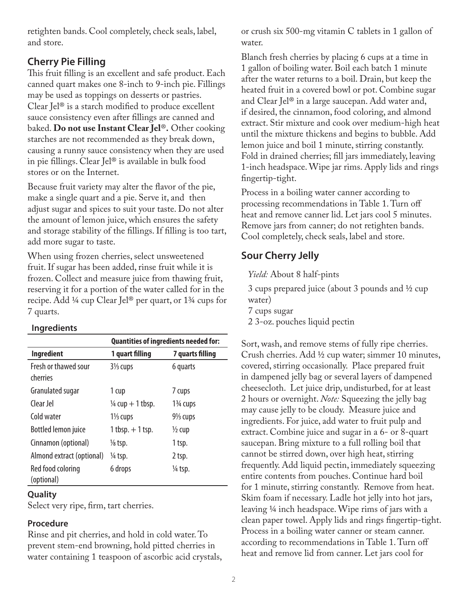retighten bands. Cool completely, check seals, label, and store.

# **Cherry Pie Filling**

This fruit filling is an excellent and safe product. Each canned quart makes one 8-inch to 9-inch pie. Fillings may be used as toppings on desserts or pastries. Clear Jel® is a starch modified to produce excellent sauce consistency even after fillings are canned and baked. **Do not use Instant Clear Jel**®**.** Other cooking starches are not recommended as they break down, causing a runny sauce consistency when they are used in pie fillings. Clear Jel® is available in bulk food stores or on the Internet.

Because fruit variety may alter the flavor of the pie, make a single quart and a pie. Serve it, and then adjust sugar and spices to suit your taste. Do not alter the amount of lemon juice, which ensures the safety and storage stability of the fillings. If filling is too tart, add more sugar to taste.

When using frozen cherries, select unsweetened fruit. If sugar has been added, rinse fruit while it is frozen. Collect and measure juice from thawing fruit, reserving it for a portion of the water called for in the recipe. Add ¼ cup Clear Jel® per quart, or 1¾ cups for 7 quarts.

## **Ingredients**

|                                  | <b>Quantities of ingredients needed for:</b> |                       |  |  |
|----------------------------------|----------------------------------------------|-----------------------|--|--|
| <b>Ingredient</b>                | 1 quart filling                              | 7 quarts filling      |  |  |
| Fresh or thawed sour<br>cherries | $3\frac{1}{3}$ cups                          | 6 quarts              |  |  |
| Granulated sugar                 | 1 cup                                        | 7 cups                |  |  |
| Clear Jel                        | $\frac{1}{4}$ cup + 1 tbsp.                  | $1\frac{3}{4}$ cups   |  |  |
| Cold water                       | $1\frac{1}{3}$ cups                          | 91/ <sub>3</sub> cups |  |  |
| <b>Bottled lemon juice</b>       | $1$ tbsp. $+1$ tsp.                          | $\frac{1}{2}$ cup     |  |  |
| Cinnamon (optional)              | $\frac{1}{8}$ tsp.                           | 1 tsp.                |  |  |
| Almond extract (optional)        | ¼ tsp.                                       | 2 tsp.                |  |  |
| Red food coloring<br>(optional)  | 6 drops                                      | 1/4 tsp.              |  |  |

## **Quality**

Select very ripe, firm, tart cherries.

## **Procedure**

Rinse and pit cherries, and hold in cold water. To prevent stem-end browning, hold pitted cherries in water containing 1 teaspoon of ascorbic acid crystals, or crush six 500-mg vitamin C tablets in 1 gallon of water.

Blanch fresh cherries by placing 6 cups at a time in 1 gallon of boiling water. Boil each batch 1 minute after the water returns to a boil. Drain, but keep the heated fruit in a covered bowl or pot. Combine sugar and Clear Jel® in a large saucepan. Add water and, if desired, the cinnamon, food coloring, and almond extract. Stir mixture and cook over medium-high heat until the mixture thickens and begins to bubble. Add lemon juice and boil 1 minute, stirring constantly. Fold in drained cherries; fill jars immediately, leaving 1-inch headspace. Wipe jar rims. Apply lids and rings fingertip-tight.

Process in a boiling water canner according to processing recommendations in Table 1. Turn off heat and remove canner lid. Let jars cool 5 minutes. Remove jars from canner; do not retighten bands. Cool completely, check seals, label and store.

# **Sour Cherry Jelly**

*Yield:* About 8 half-pints

3 cups prepared juice (about 3 pounds and ½ cup water)

7 cups sugar

2 3-oz. pouches liquid pectin

Sort, wash, and remove stems of fully ripe cherries. Crush cherries. Add ½ cup water; simmer 10 minutes, covered, stirring occasionally. Place prepared fruit in dampened jelly bag or several layers of dampened cheesecloth. Let juice drip, undisturbed, for at least 2 hours or overnight. *Note:* Squeezing the jelly bag may cause jelly to be cloudy. Measure juice and ingredients. For juice, add water to fruit pulp and extract. Combine juice and sugar in a 6- or 8-quart saucepan. Bring mixture to a full rolling boil that cannot be stirred down, over high heat, stirring frequently. Add liquid pectin, immediately squeezing entire contents from pouches. Continue hard boil for 1 minute, stirring constantly. Remove from heat. Skim foam if necessary. Ladle hot jelly into hot jars, leaving ¼ inch headspace. Wipe rims of jars with a clean paper towel. Apply lids and rings fingertip-tight. Process in a boiling water canner or steam canner. according to recommendations in Table 1. Turn off heat and remove lid from canner. Let jars cool for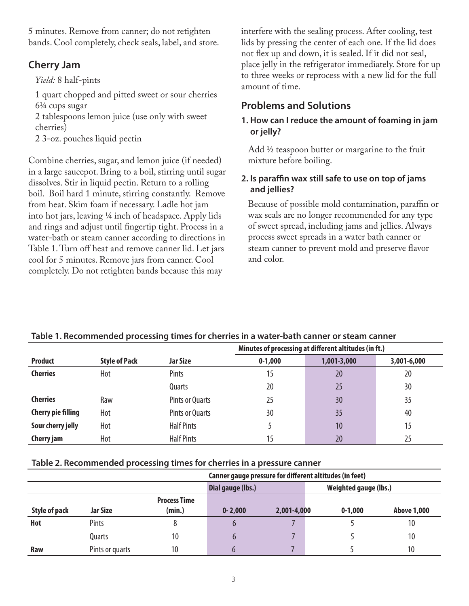5 minutes. Remove from canner; do not retighten bands. Cool completely, check seals, label, and store.

# **Cherry Jam**

## *Yield:* 8 half-pints

1 quart chopped and pitted sweet or sour cherries 61/4 cups sugar

2 tablespoons lemon juice (use only with sweet cherries)

2 3-oz. pouches liquid pectin

Combine cherries, sugar, and lemon juice (if needed) in a large saucepot. Bring to a boil, stirring until sugar dissolves. Stir in liquid pectin. Return to a rolling boil. Boil hard 1 minute, stirring constantly. Remove from heat. Skim foam if necessary. Ladle hot jam into hot jars, leaving 1/4 inch of headspace. Apply lids and rings and adjust until fingertip tight. Process in a water-bath or steam canner according to directions in Table 1. Turn off heat and remove canner lid. Let jars cool for 5 minutes. Remove jars from canner. Cool completely. Do not retighten bands because this may

interfere with the sealing process. After cooling, test lids by pressing the center of each one. If the lid does not flex up and down, it is sealed. If it did not seal, place jelly in the refrigerator immediately. Store for up to three weeks or reprocess with a new lid for the full amount of time.

# **Problems and Solutions**

#### **1. How can I reduce the amount of foaming in jam or jelly?**

Add ½ teaspoon butter or margarine to the fruit mixture before boiling.

## **2. Is paraffin wax still safe to use on top of jams and jellies?**

Because of possible mold contamination, paraffin or wax seals are no longer recommended for any type of sweet spread, including jams and jellies. Always process sweet spreads in a water bath canner or steam canner to prevent mold and preserve flavor and color.

|                           |                      |                        | Minutes of processing at different altitudes (in ft.) |             |             |  |
|---------------------------|----------------------|------------------------|-------------------------------------------------------|-------------|-------------|--|
| <b>Product</b>            | <b>Style of Pack</b> | <b>Jar Size</b>        | $0-1,000$                                             | 1,001-3,000 | 3,001-6,000 |  |
| <b>Cherries</b>           | Hot                  | Pints                  | 15                                                    | 20          | 20          |  |
|                           |                      | Quarts                 | 20                                                    | 25          | 30          |  |
| <b>Cherries</b>           | Raw                  | <b>Pints or Quarts</b> | 25                                                    | 30          | 35          |  |
| <b>Cherry pie filling</b> | Hot                  | <b>Pints or Quarts</b> | 30                                                    | 35          | 40          |  |
| Sour cherry jelly         | Hot                  | <b>Half Pints</b>      |                                                       | 10          | 15          |  |
| Cherry jam                | Hot                  | <b>Half Pints</b>      | 15                                                    | 20          | 25          |  |

#### **Table 1. Recommended processing times for cherries in a water-bath canner or steam canner**

#### **Table 2. Recommended processing times for cherries in a pressure canner**

|                      |                 |                     | Canner gauge pressure for different altitudes (in feet) |             |             |                    |  |
|----------------------|-----------------|---------------------|---------------------------------------------------------|-------------|-------------|--------------------|--|
|                      |                 |                     | <b>Weighted gauge (lbs.)</b><br>Dial gauge (lbs.)       |             |             |                    |  |
|                      |                 | <b>Process Time</b> |                                                         |             |             |                    |  |
| <b>Style of pack</b> | <b>Jar Size</b> | (min.)              | $0 - 2,000$                                             | 2,001-4,000 | $0 - 1,000$ | <b>Above 1,000</b> |  |
| Hot                  | Pints           | 8                   |                                                         |             |             | 10                 |  |
|                      | Quarts          | 10                  |                                                         |             |             | 10                 |  |
| Raw                  | Pints or quarts | 10                  |                                                         |             |             | 10                 |  |